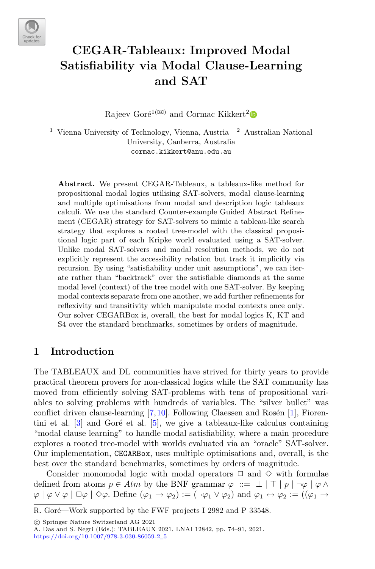

# **CEGAR-Tableaux: Improved Modal Satisfiability via Modal Clause-Learning and SAT**

Rajeev Goré<sup>1( $\boxtimes$ )</sup> and Cormac Kikkert<sup>[2](http://orcid.org/0000-0002-1723-4095)</sup>

<sup>1</sup> Vienna University of Technology, Vienna, Austria <sup>2</sup> Australian National University, Canberra, Australia cormac.kikkert@anu.edu.au

**Abstract.** We present CEGAR-Tableaux, a tableaux-like method for propositional modal logics utilising SAT-solvers, modal clause-learning and multiple optimisations from modal and description logic tableaux calculi. We use the standard Counter-example Guided Abstract Refinement (CEGAR) strategy for SAT-solvers to mimic a tableau-like search strategy that explores a rooted tree-model with the classical propositional logic part of each Kripke world evaluated using a SAT-solver. Unlike modal SAT-solvers and modal resolution methods, we do not explicitly represent the accessibility relation but track it implicitly via recursion. By using "satisfiability under unit assumptions", we can iterate rather than "backtrack" over the satisfiable diamonds at the same modal level (context) of the tree model with one SAT-solver. By keeping modal contexts separate from one another, we add further refinements for reflexivity and transitivity which manipulate modal contexts once only. Our solver CEGARBox is, overall, the best for modal logics K, KT and S4 over the standard benchmarks, sometimes by orders of magnitude.

## **1 Introduction**

The TABLEAUX and DL communities have strived for thirty years to provide practical theorem provers for non-classical logics while the SAT community has moved from efficiently solving SAT-problems with tens of propositional variables to solving problems with hundreds of variables. The "silver bullet" was conflict driven clause-learning  $[7,10]$  $[7,10]$ . Following Claessen and Rosén  $[1]$ , Fiorentini et al.  $[3]$  and Goré et al.  $[5]$ , we give a tableaux-like calculus containing "modal clause learning" to handle modal satisfiability, where a main procedure explores a rooted tree-model with worlds evaluated via an "oracle" SAT-solver. Our implementation, CEGARBox, uses multiple optimisations and, overall, is the best over the standard benchmarks, sometimes by orders of magnitude.

Consider monomodal logic with modal operators  $\Box$  and  $\diamond$  with formulae defined from atoms  $p \in Atm$  by the BNF grammar  $\varphi$  ::=  $\perp |\perp| p |\neg \varphi| \varphi \wedge$  $\varphi | \varphi \vee \varphi | \Box \varphi | \Diamond \varphi$ . Define  $(\varphi_1 \to \varphi_2) := (\neg \varphi_1 \vee \varphi_2)$  and  $\varphi_1 \leftrightarrow \varphi_2 := ((\varphi_1 \to \varphi_2))$ 

R. Goré—Work supported by the FWF projects I 2982 and P 33548.

<sup>-</sup>c Springer Nature Switzerland AG 2021

A. Das and S. Negri (Eds.): TABLEAUX 2021, LNAI 12842, pp. 74–91, 2021. [https://doi.org/10.1007/978-3-030-86059-2](https://doi.org/10.1007/978-3-030-86059-2_5)\_5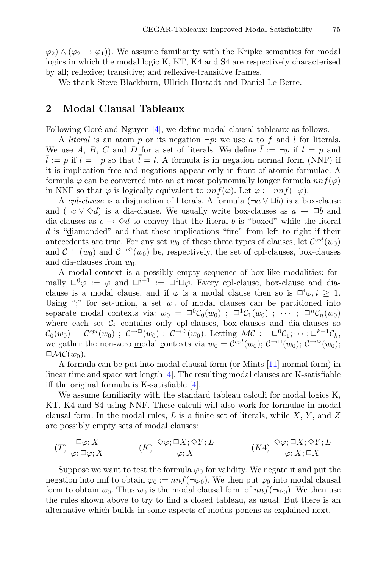$\varphi_2 \wedge (\varphi_2 \rightarrow \varphi_1)$ . We assume familiarity with the Kripke semantics for modal logics in which the modal logic K, KT, K4 and S4 are respectively characterised by all; reflexive; transitive; and reflexive-transitive frames.

We thank Steve Blackburn, Ullrich Hustadt and Daniel Le Berre.

#### **2 Modal Clausal Tableaux**

Following Goré and Nguyen  $[4]$  $[4]$ , we define modal clausal tableaux as follows.

A *literal* is an atom p or its negation  $\neg p$ : we use a to f and l for literals.<br>We use A, B, C and D for a set of literals. We define  $\overline{l} := \neg p$  if  $l = p$  and  $\bar{l} := p$  if  $l = \neg p$  so that  $\bar{l} = l$ . A formula is in negation normal form (NNF) if it is implication-free and negations appear only in front of atomic formulae. A formula  $\varphi$  can be converted into an at most polynomially longer formula  $nnf(\varphi)$ in NNF so that  $\varphi$  is logically equivalent to  $nnf(\varphi)$ . Let  $\overline{\varphi} := nnf(\neg \varphi)$ .

A *cpl-clause* is a disjunction of literals. A formula  $(\neg a \lor \Box b)$  is a box-clause and  $(\neg c \vee \Diamond d)$  is a dia-clause. We usually write box-clauses as  $a \to \Box b$  and dia-clauses as  $c \to \Diamond d$  to convey that the literal b is "boxed" while the literal d is "diamonded" and that these implications "fire" from left to right if their antecedents are true. For any set  $w_0$  of these three types of clauses, let  $\mathcal{C}^{cpl}(w_0)$ and  $\mathcal{C}^{\to\Box}(w_0)$  and  $\mathcal{C}^{\to\Diamond}(w_0)$  be, respectively, the set of cpl-clauses, box-clauses and dia-clauses from  $w_0$ .

A modal context is a possibly empty sequence of box-like modalities: formally  $\Box^0 \varphi := \varphi$  and  $\Box^{i+1} := \Box^i \Box \varphi$ . Every cpl-clause, box-clause and diaclause is a modal clause, and if  $\varphi$  is a modal clause then so is  $\Box^i \varphi, i \geq 1$ . Using ";" for set-union, a set  $w_0$  of modal clauses can be partitioned into separate modal contexts via:  $w_0 = \Box^0 \mathcal{C}_0(w_0)$ ;  $\Box^1 \mathcal{C}_1(w_0)$ ;  $\cdots$ ;  $\Box^n \mathcal{C}_n(w_0)$ where each set  $\mathcal{C}_i$  contains only cpl-clauses, box-clauses and dia-clauses so  $\mathcal{C}_0(w_0) = \mathcal{C}^{cpl}(w_0)$ ;  $\mathcal{C}^{\rightarrow \mathbb{C}}(w_0)$ ;  $\mathcal{C}^{\rightarrow \mathbb{C}}(w_0)$ . Letting  $\mathcal{MC} := \Box^0 \mathcal{C}_1; \cdots; \Box^{k-1} \mathcal{C}_k$ , we gather the non-zero modal contexts via  $w_0 = C^{cpl}(w_0)$ ;  $C^{\rightarrow \square}(w_0)$ ;  $C^{\rightarrow \diamond}(w_0)$ ;  $\Box \mathcal{MC}(w_0)$ .

A formula can be put into modal clausal form (or Mints [\[11](#page-17-1)] normal form) in linear time and space wrt length [\[4\]](#page-16-4). The resulting modal clauses are K-satisfiable iff the original formula is K-satisfiable [\[4](#page-16-4)].

We assume familiarity with the standard tableau calculi for modal logics K, KT, K4 and S4 using NNF. These calculi will also work for formulae in modal clausal form. In the modal rules,  $L$  is a finite set of literals, while  $X, Y$ , and  $Z$ are possibly empty sets of modal clauses:

$$
(T) \frac{\Box \varphi; X}{\varphi; \Box \varphi; X} \qquad (K) \frac{\Diamond \varphi; \Box X; \Diamond Y; L}{\varphi; X} \qquad (K4) \frac{\Diamond \varphi; \Box X; \Diamond Y; L}{\varphi; X; \Box X}
$$

Suppose we want to test the formula  $\varphi_0$  for validity. We negate it and put the negation into nnf to obtain  $\overline{\varphi_0} := nnf(\neg \varphi_0)$ . We then put  $\overline{\varphi_0}$  into modal clausal form to obtain  $w_0$ . Thus  $w_0$  is the modal clausal form of  $nnf(\neg \varphi_0)$ . We then use the rules shown above to try to find a closed tableau, as usual. But there is an alternative which builds-in some aspects of modus ponens as explained next.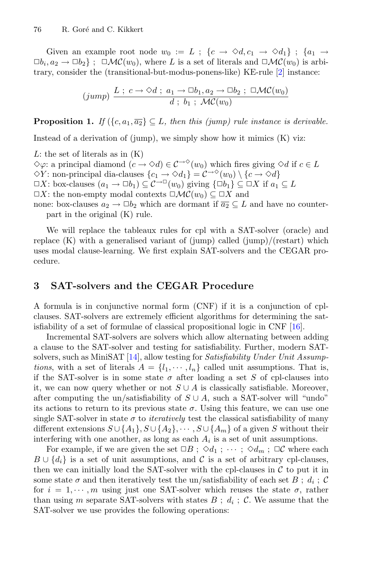Given an example root node  $w_0 := L$ ;  $\{c \to \Diamond d, c_1 \to \Diamond d_1\}$ ;  $\{a_1 \to \Diamond d, c_2 \to \Diamond d_2\}$  $\Box b_i, a_2 \to \Box b_2$ ;  $\Box \mathcal{MC}(w_0)$ , where L is a set of literals and  $\Box \mathcal{MC}(w_0)$  is arbitrary, consider the (transitional-but-modus-ponens-like) KE-rule [\[2](#page-16-5)] instance:

$$
(jump) \frac{L: c \to \Diamond d: a_1 \to \Box b_1, a_2 \to \Box b_2: \Box \mathcal{MC}(w_0)}{d: b_1: \mathcal{MC}(w_0)}
$$

**Proposition 1.** *If*  $({c, a_1, \overline{a_2}}) \subseteq L$ , then this (jump) rule instance is derivable.

Instead of a derivation of (jump), we simply show how it mimics  $(K)$  viz:

L: the set of literals as in  $(K)$  $\diamondsuit\varphi$ : a principal diamond  $(c \to \diamondsuit d) \in C^{\to \diamondsuit}(w_0)$  which fires giving  $\diamondsuit d$  if  $c \in L$  $\Diamond Y$ : non-principal dia-clauses  $\{c_1 \to \Diamond d_1\} = C^{\to \Diamond}(w_0) \setminus \{c \to \Diamond d\}$  $\Box X:$  box-clauses  $(a_1 \rightarrow \Box b_1) \subseteq C^{\rightarrow \Box}(w_0)$  giving  $\{\Box b_1\} \subseteq \Box X$  if  $a_1 \subseteq L$  $\Box X$ : the non-empty modal contexts  $\Box \mathcal{MC}(w_0) \subseteq \Box X$  and none: box-clauses  $a_2 \to \Box b_2$  which are dormant if  $\overline{a_2} \subseteq L$  and have no counter-

part in the original (K) rule.

We will replace the tableaux rules for cpl with a SAT-solver (oracle) and replace  $(K)$  with a generalised variant of (jump) called (jump)/(restart) which uses modal clause-learning. We first explain SAT-solvers and the CEGAR procedure.

## **3 SAT-solvers and the CEGAR Procedure**

A formula is in conjunctive normal form (CNF) if it is a conjunction of cplclauses. SAT-solvers are extremely efficient algorithms for determining the satisfiability of a set of formulae of classical propositional logic in CNF [\[16](#page-17-2)].

Incremental SAT-solvers are solvers which allow alternating between adding a clause to the SAT-solver and testing for satisfiability. Further, modern SATsolvers, such as MiniSAT [\[14](#page-17-3)], allow testing for *Satisfiability Under Unit Assumptions*, with a set of literals  $A = \{l_1, \dots, l_n\}$  called unit assumptions. That is, if the SAT-solver is in some state  $\sigma$  after loading a set S of cpl-clauses into it, we can now query whether or not  $S \cup A$  is classically satisfiable. Moreover, after computing the un/satisfiability of  $S \cup A$ , such a SAT-solver will "undo" its actions to return to its previous state  $\sigma$ . Using this feature, we can use one single SAT-solver in state  $\sigma$  to *iteratively* test the classical satisfiability of many different extensions  $S \cup \{A_1\}$ ,  $S \cup \{A_2\}$ ,  $\dots$ ,  $S \cup \{A_m\}$  of a given S without their interfering with one another, as long as each  $A_i$  is a set of unit assumptions.

For example, if we are given the set  $\Box B$ ;  $\diamond d_1$ ;  $\dots$ ;  $\diamond d_m$ ;  $\Box C$  where each  $B \cup \{d_i\}$  is a set of unit assumptions, and C is a set of arbitrary cpl-clauses, then we can initially load the SAT-solver with the cpl-clauses in  $\mathcal C$  to put it in some state  $\sigma$  and then iteratively test the un/satisfiability of each set B;  $d_i$ ; C for  $i = 1, \dots, m$  using just one SAT-solver which reuses the state  $\sigma$ , rather than using m separate SAT-solvers with states  $B$ ;  $d_i$ ;  $\mathcal{C}$ . We assume that the SAT-solver we use provides the following operations: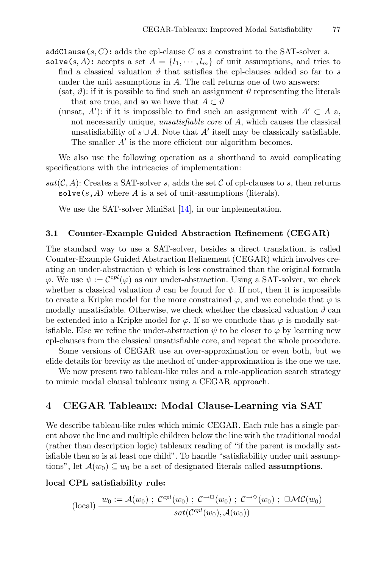addClause( $s, C$ ): adds the cpl-clause C as a constraint to the SAT-solver  $s$ .

- solve(s, A): accepts a set  $A = \{l_1, \dots, l_m\}$  of unit assumptions, and tries to find a classical valuation  $\vartheta$  that satisfies the cpl-clauses added so far to s under the unit assumptions in A. The call returns one of two answers:
	- (sat,  $\vartheta$ ): if it is possible to find such an assignment  $\vartheta$  representing the literals that are true, and so we have that  $A \subset \vartheta$
	- (unsat, A'): if it is impossible to find such an assignment with  $A' \subset A$  a, not necessarily unique, *unsatisfiable core* of A, which causes the classical unsatisfiability of  $s \cup A$ . Note that A' itself may be classically satisfiable. The smaller  $A'$  is the more efficient our algorithm becomes.

We also use the following operation as a shorthand to avoid complicating specifications with the intricacies of implementation:

 $sat(C, A)$ : Creates a SAT-solver s, adds the set C of cpl-clauses to s, then returns solve(s, A) where A is a set of unit-assumptions (literals).

We use the SAT-solver MiniSat [\[14\]](#page-17-3), in our implementation.

#### **3.1 Counter-Example Guided Abstraction Refinement (CEGAR)**

The standard way to use a SAT-solver, besides a direct translation, is called Counter-Example Guided Abstraction Refinement (CEGAR) which involves creating an under-abstraction  $\psi$  which is less constrained than the original formula  $\varphi$ . We use  $\psi := \mathcal{C}^{cpl}(\varphi)$  as our under-abstraction. Using a SAT-solver, we check whether a classical valuation  $\vartheta$  can be found for  $\psi$ . If not, then it is impossible to create a Kripke model for the more constrained  $\varphi$ , and we conclude that  $\varphi$  is modally unsatisfiable. Otherwise, we check whether the classical valuation  $\vartheta$  can be extended into a Kripke model for  $\varphi$ . If so we conclude that  $\varphi$  is modally satisfiable. Else we refine the under-abstraction  $\psi$  to be closer to  $\varphi$  by learning new cpl-clauses from the classical unsatisfiable core, and repeat the whole procedure.

Some versions of CEGAR use an over-approximation or even both, but we elide details for brevity as the method of under-approximation is the one we use.

We now present two tableau-like rules and a rule-application search strategy to mimic modal clausal tableaux using a CEGAR approach.

### **4 CEGAR Tableaux: Modal Clause-Learning via SAT**

We describe tableau-like rules which mimic CEGAR. Each rule has a single parent above the line and multiple children below the line with the traditional modal (rather than description logic) tableaux reading of "if the parent is modally satisfiable then so is at least one child". To handle "satisfiability under unit assumptions", let  $\mathcal{A}(w_0) \subseteq w_0$  be a set of designated literals called **assumptions**.

### **local CPL satisfiability rule:**

$$
(\text{local}) \frac{w_0 := \mathcal{A}(w_0) \; ; \; \mathcal{C}^{cpl}(w_0) \; ; \; \mathcal{C}^{\rightarrow \square}(w_0) \; ; \; \mathcal{C}^{\rightarrow \diamond}(w_0) \; ; \; \square \mathcal{MC}(w_0)}{\text{sat}(\mathcal{C}^{cpl}(w_0), \mathcal{A}(w_0))}
$$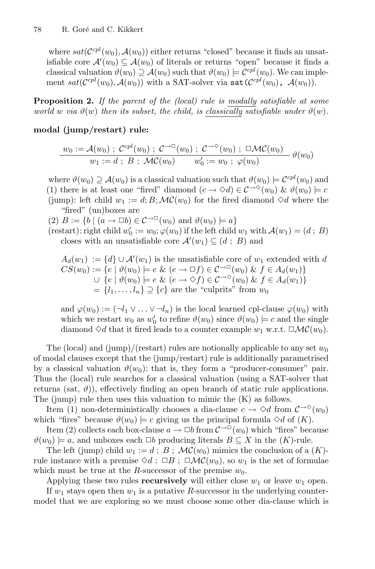where  $sat(\mathcal{C}^{cpl}(w_0), \mathcal{A}(w_0))$  either returns "closed" because it finds an unsatisfiable core  $\mathcal{A}'(w_0) \subseteq \mathcal{A}(w_0)$  of literals or returns "open" because it finds a classical valuation  $\vartheta(w_0) \supseteq \mathcal{A}(w_0)$  such that  $\vartheta(w_0) \models \mathcal{C}^{cpl}(w_0)$ . We can implement sat( $\mathcal{C}^{cpl}(w_0), \mathcal{A}(w_0)$ ) with a SAT-solver via sat( $\mathcal{C}^{cpl}(w_0)$ ,  $\mathcal{A}(w_0)$ ).

**Proposition 2.** *If the parent of the (local) rule is modally satisfiable at some world* w *via*  $\vartheta(w)$  *then its subset, the child, is classically satisfiable under*  $\vartheta(w)$ *.* 

**modal (jump/restart) rule:**

$$
\frac{w_0:=\mathcal{A}(w_0)\,;\,\mathcal{C}^{cpl}(w_0)\,;\,\mathcal{C}^{\rightarrow\Box}(w_0)\,;\,\mathcal{C}^{\rightarrow\Diamond}(w_0)\,;\,\Box\mathcal{MC}(w_0)}{w_1:=d\,;\,\,B\,;\,\mathcal{MC}(w_0)\qquad w'_0:=w_0\,;\,\varphi(w_0)}\,\vartheta(w_0)
$$

where  $\vartheta(w_0) \supseteq \mathcal{A}(w_0)$  is a classical valuation such that  $\vartheta(w_0) \models \mathcal{C}^{cpl}(w_0)$  and (1) there is at least one "fired" diamond  $(c \to \Diamond d) \in C^{\to \Diamond}(w_0) \& \vartheta(w_0) \models c$ (jump): left child  $w_1 := d, B$ ;  $\mathcal{MC}(w_0)$  for the fired diamond  $\Diamond d$  where the "fired" (un)boxes are

(2)  $B := \{b \mid (a \rightarrow \Box b) \in C^{\rightarrow \Box}(w_0) \text{ and } \vartheta(w_0) \models a\}$ 

(restart): right child  $w'_0 := w_0$ ;  $\varphi(w_0)$  if the left child  $w_1$  with  $\mathcal{A}(w_1) = (d \,; \, B)$ closes with an unsatisfiable core  $\mathcal{A}'(w_1) \subseteq (d \,; \, B)$  and

$$
A_d(w_1) := \{d\} \cup \mathcal{A}'(w_1)
$$
 is the unsatisfiable core of  $w_1$  extended with  $d$   
\n
$$
CS(w_0) := \{e \mid \vartheta(w_0) \models e \& (e \rightarrow \Box f) \in \mathcal{C}^{\rightarrow \Box}(w_0) \& f \in A_d(w_1) \}
$$
\n
$$
\cup \{e \mid \vartheta(w_0) \models e \& (e \rightarrow \Diamond f) \in \mathcal{C}^{\rightarrow \Diamond}(w_0) \& f \in A_d(w_1) \}
$$
\n
$$
= \{l_1, \dots, l_n\} \supseteq \{c\}
$$
 are the "culprits" from  $w_0$ 

and  $\varphi(w_0) := (\neg l_1 \vee \ldots \vee \neg l_n)$  is the local learned cpl-clause  $\varphi(w_0)$  with which we restart  $w_0$  as  $w'_0$  to refine  $\vartheta(w_0)$  since  $\vartheta(w_0) \models c$  and the single diamond  $\Diamond d$  that it fired leads to a counter example  $w_1$  w.r.t.  $\Box \mathcal{MC}(w_0)$ .

The (local) and (jump)/(restart) rules are notionally applicable to any set  $w_0$ of modal clauses except that the (jump/restart) rule is additionally parametrised by a classical valuation  $\vartheta(w_0)$ : that is, they form a "producer-consumer" pair. Thus the (local) rule searches for a classical valuation (using a SAT-solver that returns (sat,  $\vartheta$ )), effectively finding an open branch of static rule applications. The (jump) rule then uses this valuation to mimic the  $(K)$  as follows.

Item (1) non-deterministically chooses a dia-clause  $c \to \Diamond d$  from  $\mathcal{C}^{\to\Diamond}(w_0)$ which "fires" because  $\vartheta(w_0) \models c$  giving us the principal formula  $\diamond d$  of  $(K)$ .

Item (2) collects each box-clause  $a \to \Box b$  from  $C^{\to \Box}(w_0)$  which "fires" because  $\vartheta(w_0) \models a$ , and unboxes each  $\Box b$  producing literals  $B \subseteq X$  in the  $(K)$ -rule.

The left (jump) child  $w_1 := d$ ;  $B$ ;  $\mathcal{MC}(w_0)$  mimics the conclusion of a  $(K)$ rule instance with a premise  $\Diamond d$ ;  $\Box B$ ;  $\Box \mathcal{MC}(w_0)$ , so  $w_1$  is the set of formulae which must be true at the R-successor of the premise  $w_0$ .

Applying these two rules **recursively** will either close  $w_1$  or leave  $w_1$  open.

If  $w_1$  stays open then  $w_1$  is a putative R-successor in the underlying countermodel that we are exploring so we must choose some other dia-clause which is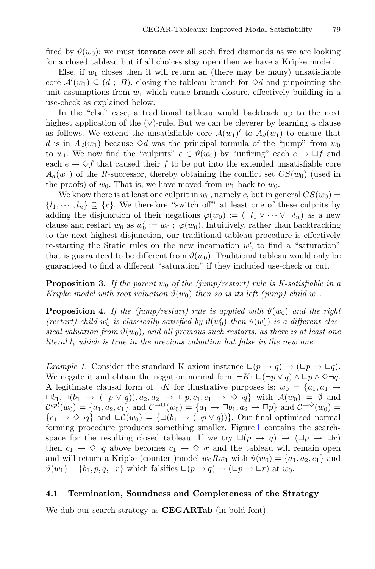fired by  $\vartheta(w_0)$ : we must **iterate** over all such fired diamonds as we are looking for a closed tableau but if all choices stay open then we have a Kripke model.

Else, if  $w_1$  closes then it will return an (there may be many) unsatisfiable core  $\mathcal{A}'(w_1) \subseteq (d \, ; \, B)$ , closing the tableau branch for  $\diamond d$  and pinpointing the unit assumptions from  $w_1$  which cause branch closure, effectively building in a use-check as explained below.

In the "else" case, a traditional tableau would backtrack up to the next highest application of the  $(\vee)$ -rule. But we can be cleverer by learning a clause as follows. We extend the unsatisfiable core  $\mathcal{A}(w_1)'$  to  $A_d(w_1)$  to ensure that d is in  $A_d(w_1)$  because  $\Diamond d$  was the principal formula of the "jump" from  $w_0$ to  $w_1$ . We now find the "culprits"  $e \in \vartheta(w_0)$  by "unfiring" each  $e \to \Box f$  and each  $e \to \Diamond f$  that caused their f to be put into the extended unsatisfiable core  $A_d(w_1)$  of the R-successor, thereby obtaining the conflict set  $CS(w_0)$  (used in the proofs) of  $w_0$ . That is, we have moved from  $w_1$  back to  $w_0$ .

We know there is at least one culprit in  $w_0$ , namely c, but in general  $CS(w_0)$  =  $\{l_1, \dots, l_n\} \supseteq \{c\}$ . We therefore "switch off" at least one of these culprits by adding the disjunction of their negations  $\varphi(w_0) := (\neg l_1 \vee \cdots \vee \neg l_n)$  as a new clause and restart  $w_0$  as  $w'_0 := w_0$ ;  $\varphi(w_0)$ . Intuitively, rather than backtracking to the next highest disjunction, our traditional tableau procedure is effectively re-starting the Static rules on the new incarnation  $w'_0$  to find a "saturation" that is guaranteed to be different from  $\vartheta(w_0)$ . Traditional tableau would only be guaranteed to find a different "saturation" if they included use-check or cut.

**Proposition 3.** *If the parent*  $w_0$  *of the (jump/restart) rule is K-satisfiable in a Kripke model with root valuation*  $\vartheta(w_0)$  *then so is its left (jump) child*  $w_1$ *.* 

**Proposition 4.** If the (jump/restart) rule is applied with  $\vartheta(w_0)$  and the right *(restart) child*  $w'_0$  *is classically satisfied by*  $\vartheta(w'_0)$  *then*  $\vartheta(w'_0)$  *is a different classical valuation from*  $\vartheta(w_0)$ *, and all previous such restarts, as there is at least one literal*  $l_i$  *which is true in the previous valuation but false in the new one.* 

*Example 1.* Consider the standard K axiom instance  $\square(p \to q) \to (\square p \to \square q)$ . We negate it and obtain the negation normal form  $\neg K: \Box(\neg p \lor q) \land \Box p \land \Diamond \neg q$ . A legitimate clausal form of  $\neg K$  for illustrative purposes is:  $w_0 = \{a_1, a_1 \rightarrow$  $\Box b_1, \Box (b_1 \rightarrow (\neg p \lor q)), a_2, a_2 \rightarrow \Box p, c_1, c_1 \rightarrow \Diamond \neg q$  with  $\mathcal{A}(w_0) = \emptyset$  and  $\mathcal{C}^{cpl}(w_0) = \{a_1, a_2, c_1\}$  and  $\mathcal{C}^{\rightarrow \square}(w_0) = \{a_1 \rightarrow \square b_1, a_2 \rightarrow \square p\}$  and  $\mathcal{C}^{\rightarrow \diamond}(w_0) =$  ${c_1 \rightarrow \Diamond \neg q}$  and  $\Box C(w_0) = {\Box (b_1 \rightarrow (\neg p \vee q))}.$  Our final optimised normal forming procedure produces something smaller. Figure [1](#page-6-0) contains the searchspace for the resulting closed tableau. If we try  $\Box(p \rightarrow q) \rightarrow (\Box p \rightarrow \Box r)$ then  $c_1 \rightarrow \Diamond \neg q$  above becomes  $c_1 \rightarrow \Diamond \neg r$  and the tableau will remain open and will return a Kripke (counter-)model  $w_0 R w_1$  with  $\vartheta(w_0) = \{a_1, a_2, c_1\}$  and  $\vartheta(w_1) = \{b_1, p, q, \neg r\}$  which falsifies  $\Box(p \rightarrow q) \rightarrow (\Box p \rightarrow \Box r)$  at  $w_0$ .

#### **4.1 Termination, Soundness and Completeness of the Strategy**

We dub our search strategy as **CEGARTab** (in bold font).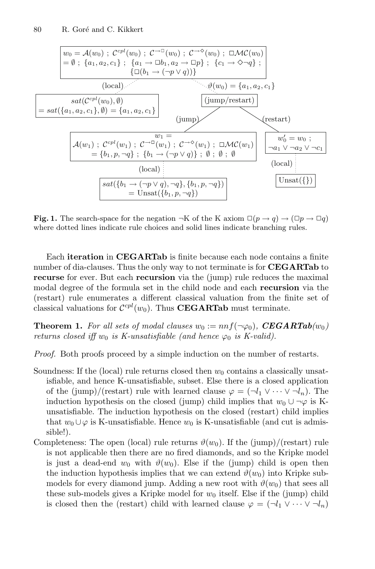

<span id="page-6-0"></span>**Fig. 1.** The search-space for the negation  $\neg K$  of the K axiom  $\square(p \rightarrow q) \rightarrow (\square p \rightarrow \square q)$ where dotted lines indicate rule choices and solid lines indicate branching rules.

Each **iteration** in **CEGARTab** is finite because each node contains a finite number of dia-clauses. Thus the only way to not terminate is for **CEGARTab** to **recurse** for ever. But each **recursion** via the (jump) rule reduces the maximal modal degree of the formula set in the child node and each **recursion** via the (restart) rule enumerates a different classical valuation from the finite set of classical valuations for  $\mathcal{C}^{cpl}(w_0)$ . Thus **CEGARTab** must terminate.

**Theorem 1.** For all sets of modal clauses  $w_0 := nnf(\neg \varphi_0)$ , **CEGARTab** $(w_0)$ *returns closed iff*  $w_0$  *is K-unsatisfiable (and hence*  $\varphi_0$  *is K-valid).* 

*Proof.* Both proofs proceed by a simple induction on the number of restarts.

- Soundness: If the (local) rule returns closed then  $w_0$  contains a classically unsatisfiable, and hence K-unsatisfiable, subset. Else there is a closed application of the (jump)/(restart) rule with learned clause  $\varphi = (\neg l_1 \vee \cdots \vee \neg l_n)$ . The induction hypothesis on the closed (jump) child implies that  $w_0 \cup \neg \varphi$  is Kunsatisfiable. The induction hypothesis on the closed (restart) child implies that  $w_0 \cup \varphi$  is K-unsatisfiable. Hence  $w_0$  is K-unsatisfiable (and cut is admissible!).
- Completeness: The open (local) rule returns  $\vartheta(w_0)$ . If the (jump)/(restart) rule is not applicable then there are no fired diamonds, and so the Kripke model is just a dead-end  $w_0$  with  $\vartheta(w_0)$ . Else if the (jump) child is open then the induction hypothesis implies that we can extend  $\vartheta(w_0)$  into Kripke submodels for every diamond jump. Adding a new root with  $\vartheta(w_0)$  that sees all these sub-models gives a Kripke model for  $w_0$  itself. Else if the (jump) child is closed then the (restart) child with learned clause  $\varphi = (\neg l_1 \vee \cdots \vee \neg l_n)$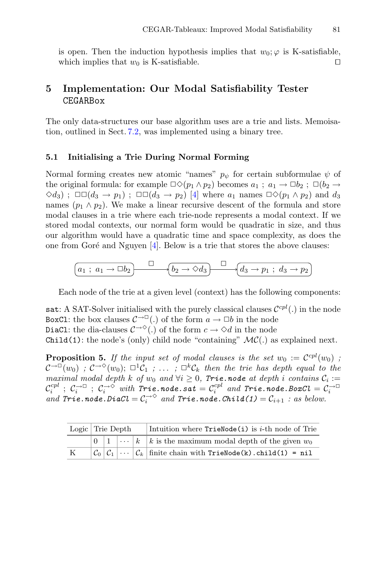is open. Then the induction hypothesis implies that  $w_0$ ;  $\varphi$  is K-satisfiable, which implies that  $w_0$  is K-satisfiable.

# **5 Implementation: Our Modal Satisfiability Tester** CEGARBox

The only data-structures our base algorithm uses are a trie and lists. Memoisation, outlined in Sect. [7.2,](#page-12-0) was implemented using a binary tree.

#### **5.1 Initialising a Trie During Normal Forming**

Normal forming creates new atomic "names"  $p_{\psi}$  for certain subformulae  $\psi$  of the original formula: for example  $\Box \Diamond (p_1 \land p_2)$  becomes  $a_1 : a_1 \rightarrow \Box b_2 : \Box (b_2 \rightarrow$  $\Diamond d_3)$ ;  $\Box \Box (d_3 \rightarrow p_1)$ ;  $\Box \Box (d_3 \rightarrow p_2)$  [\[4\]](#page-16-4) where  $a_1$  names  $\Box \Diamond (p_1 \land p_2)$  and  $d_3$ names  $(p_1 \wedge p_2)$ . We make a linear recursive descent of the formula and store modal clauses in a trie where each trie-node represents a modal context. If we stored modal contexts, our normal form would be quadratic in size, and thus our algorithm would have a quadratic time and space complexity, as does the one from Goré and Nguyen  $[4]$  $[4]$ . Below is a trie that stores the above clauses:

$$
\underbrace{(a_1 \; ; \; a_1 \to \Box b_2)} \qquad \qquad \underbrace{\Box} \qquad \qquad \underbrace{(b_2 \to \Diamond d_3)} \qquad \qquad \underbrace{\Box} \qquad \qquad \underbrace{(d_3 \to p_1 \; ; \; d_3 \to p_2)}
$$

Each node of the trie at a given level (context) has the following components:

sat: A SAT-Solver initialised with the purely classical clauses  $\mathcal{C}^{cpl}(.)$  in the node BoxCl: the box clauses  $C^{\to\Box}$ .) of the form  $a \to \Box b$  in the node DiaCl: the dia-clauses  $\mathcal{C}^{\rightarrow\Diamond}$ .) of the form  $c \rightarrow \Diamond d$  in the node Child(1): the node's (only) child node "containing"  $MC(.)$  as explained next.

**Proposition 5.** If the input set of modal clauses is the set  $w_0 := C^{cpl}(w_0)$ ;  $\mathcal{C}^{\to\Box}(w_0)$ ;  $\mathcal{C}^{\to\Diamond}(w_0)$ ;  $\Box^1\mathcal{C}_1$ ; ...;  $\Box^k\mathcal{C}_k$  then the trie has depth equal to the *maximal modal depth*  $k$  *of*  $w_0$  *and*  $\forall i \geq 0$ *, Trie.node at depth i contains*  $C_i$  :=  $\mathcal{C}_i^{cpl}$  ;  $\mathcal{C}_i^{-\triangle}$  ;  $\mathcal{C}_i^{-\triangle}$  with  $\overline{Trie}$  node.sat =  $\mathcal{C}_i^{cpl}$  and  $\overline{Trie}$  node.Box $Cl = \mathcal{C}_i^{-\triangle}$ and  $\text{True}$  *node.DiaCl* =  $\mathcal{C}_i^{\rightarrow \diamondsuit}$  and  $\text{True}$  *node.Child(1)* =  $\mathcal{C}_{i+1}$  *: as below.* 

|   | Logic Trie Depth |  |  |  | Intuition where $\texttt{TrielNode}(i)$ is <i>i</i> -th node of Trie                                                                                                                                         |
|---|------------------|--|--|--|--------------------------------------------------------------------------------------------------------------------------------------------------------------------------------------------------------------|
|   |                  |  |  |  | $\begin{bmatrix} 0 & 1 & \cdots & k \end{bmatrix}$ k is the maximum modal depth of the given $w_0$                                                                                                           |
| K |                  |  |  |  | $\left\Vert \mathcal{C}_{0}\left\vert \mathcal{C}_{1}\right\vert \cdots\right\vert \mathcal{C}_{k}\left\vert \text{finite chain with }\texttt{TripleNode(k)}. \texttt{child(1)} \texttt{ = nil} \right\vert$ |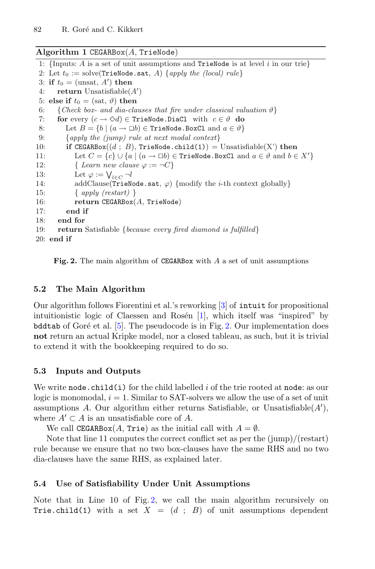#### **Algorithm 1** CEGARBox(*A*, TrieNode)

```
1: {Inputs: A is a set of unit assumptions and TrieNode is at level i in our trie}
 2: Let t_0 := solve(TrieNode.sat, A) {apply the (local) rule}
 3: if t_0 = (\text{unsat}, A') then
 4: return Unsatisfiable(A')5: else if t_0 = (sat, \vartheta) then
 6: {Check box- and dia-clauses that fire under classical valuation \vartheta}<br>7: for every (c \to \Diamond d) \in \text{TrielNode.DiaCl with } c \in \vartheta do
 7: for every (c \to \Diamond d) \in \text{TrielNode}. DiaCl with c \in \vartheta do<br>8: Let B = \{b \mid (a \to \Box b) \in \text{TrielNode}. BoxCl and a \in \vartheta\}8: Let B = \{b \mid (a \rightarrow \Box b) \in \text{Triangle}.\text{BoxC1} \text{ and } a \in \vartheta\}<br>9: \{apply\ the\ (jump)\ rule\ at\ next\ model\ context\}9: {apply\ the\ (jump)\ rule\ at\ next\ model\ context\}<br>10: if CEGARBox((d : B). TrieNode.child(1)) =
              if CEGARBox((d ; B), TrielNode.child(1)) = Unsatisfiable(X') then11: Let C = \{c\} \cup \{a \mid (a \rightarrow \Box b) \in \text{TrielNode.BoxCl} \text{ and } a \in \vartheta \text{ and } b \in X'\}<br>12: \{Learn new clause \varphi := \neg C\}12: { Learn new clause \varphi := \neg C}<br>13: Let \varphi := \bigvee_{i \in C} \neg l13: Let \varphi := \bigvee_{l \in C} \neg l<br>14: addClause(TrieN)
14: addClause(TrieNode.sat, \varphi) {modify the i-th context globally}<br>15: { apply (restart) }
15: { apply (restart)}<br>16: return CEGARBox
                  return CEGARBox(A, TrieNode)
17: end if
18: end for
19: return Satisfiable {because every fired diamond is fulfilled}
20: end if
```
<span id="page-8-0"></span>**Fig. 2.** The main algorithm of CEGARBox with *A* a set of unit assumptions

## **5.2 The Main Algorithm**

Our algorithm follows Fiorentini et al.'s reworking [\[3\]](#page-16-2) of intuit for propositional intuitionistic logic of Claessen and Rosén  $[1]$ , which itself was "inspired" by bddtab of Goré et al. [\[5](#page-16-3)]. The pseudocode is in Fig. [2.](#page-8-0) Our implementation does **not** return an actual Kripke model, nor a closed tableau, as such, but it is trivial to extend it with the bookkeeping required to do so.

## **5.3 Inputs and Outputs**

We write node.child $(i)$  for the child labelled i of the trie rooted at node: as our logic is monomodal,  $i = 1$ . Similar to SAT-solvers we allow the use of a set of unit assumptions  $A$ . Our algorithm either returns Satisfiable, or Unsatisfiable $(A')$ , where  $A' \subset A$  is an unsatisfiable core of A.

We call CEGARBox(A, Trie) as the initial call with  $A = \emptyset$ .

Note that line 11 computes the correct conflict set as per the (jump)/(restart) rule because we ensure that no two box-clauses have the same RHS and no two dia-clauses have the same RHS, as explained later.

## **5.4 Use of Satisfiability Under Unit Assumptions**

Note that in Line 10 of Fig. [2,](#page-8-0) we call the main algorithm recursively on Trie.child(1) with a set  $X = (d \; ; \; B)$  of unit assumptions dependent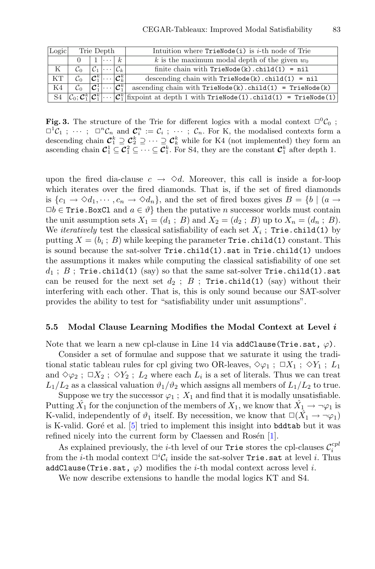| Logic | Trie Depth        |                               |          |                   | Intuition where $\text{Trielode}(i)$ is <i>i</i> -th node of Trie                                                                                         |
|-------|-------------------|-------------------------------|----------|-------------------|-----------------------------------------------------------------------------------------------------------------------------------------------------------|
|       |                   |                               | $\cdots$ | $\kappa$          | k is the maximum modal depth of the given $w_0$                                                                                                           |
|       | $\mathcal{C}_{0}$ | $\mathcal{C}_1$               |          | $\mathcal{C}_{k}$ | finite chain with $Trielode(k) .child(1) = nil$                                                                                                           |
| KТ    |                   | $\mathcal{C}_1^{\kappa}$      |          | ${\cal C}^k_k$    | descending chain with $Trielode(k)$ .child $(1)$ = nil                                                                                                    |
|       |                   | $ {\cal C}_1^{\perp}  \cdots$ |          | $ {\cal C}^k_1 $  | ascending chain with $\text{TrueNode}(k) \cdot \text{child}(1) = \text{TrueNode}(k)$                                                                      |
| - S4  |                   |                               |          |                   | $\left \mathcal{C}_0;\mathcal{C}_1^k\right \mathcal{C}_1^k\left \cdots\right \mathcal{C}_1^k$ fixpoint at depth 1 with TrieNode(1).child(1) = TrieNode(1) |

<span id="page-9-0"></span>**Fig. 3.** The structure of the Trie for different logics with a modal context  $\Box^0 C_0$ ;  $\Box^1 \mathcal{C}_1$ ;  $\cdots$ ;  $\Box^n \mathcal{C}_n$  and  $\mathcal{C}_i^n := \mathcal{C}_i$ ;  $\cdots$ ;  $\mathcal{C}_n$ . For K, the modalised contexts form a descending chain  $\mathcal{C}_1^k \supseteq \mathcal{C}_2^k \supseteq \cdots \supseteq \mathcal{C}_k^k$  while for K4 (not implemented) they form an ascending chain  $\mathcal{C}_1^1 \subseteq \mathcal{C}_1^2 \subseteq \cdots \subseteq \mathcal{C}_1^k$ . For S4, they are the constant  $\mathcal{C}_1^k$  after depth 1.

upon the fired dia-clause  $c \rightarrow \Diamond d$ . Moreover, this call is inside a for-loop which iterates over the fired diamonds. That is, if the set of fired diamonds is  $\{c_1 \to \Diamond d_1, \cdots, c_n \to \Diamond d_n\}$ , and the set of fired boxes gives  $B = \{b \mid (a \to \Diamond d_1, \cdots, c_n \to \Diamond d_n)\}$  $\Box b \in$  Trie.BoxCl and  $a \in \vartheta$  then the putative n successor worlds must contain the unit assumption sets  $X_1 = (d_1 ; B)$  and  $X_2 = (d_2 ; B)$  up to  $X_n = (d_n ; B)$ . We *iteratively* test the classical satisfiability of each set  $X_i$ ; Trie.child(1) by putting  $X = (b_i : B)$  while keeping the parameter Trie.child(1) constant. This is sound because the sat-solver Trie.child(1).sat in Trie.child(1) undoes the assumptions it makes while computing the classical satisfiability of one set  $d_1$ ;  $B$ ; Trie.child(1) (say) so that the same sat-solver Trie.child(1).sat can be reused for the next set  $d_2$ ; B; Trie.child(1) (say) without their interfering with each other. That is, this is only sound because our SAT-solver provides the ability to test for "satisfiability under unit assumptions".

#### **5.5 Modal Clause Learning Modifies the Modal Context at Level** *i*

Note that we learn a new cpl-clause in Line 14 via addClause(Trie.sat,  $\varphi$ ).

Consider a set of formulae and suppose that we saturate it using the traditional static tableau rules for cpl giving two OR-leaves,  $\diamond \varphi_1$ ;  $\square X_1$ ;  $\diamond Y_1$ ;  $L_1$ and  $\diamondsuit\varphi_2$ ;  $\square X_2$ ;  $\diamondsuit Y_2$ ;  $L_2$  where each  $L_i$  is a set of literals. Thus we can treat  $L_1/L_2$  as a classical valuation  $\vartheta_1/\vartheta_2$  which assigns all members of  $L_1/L_2$  to true.

Suppose we try the successor  $\varphi_1$ ;  $X_1$  and find that it is modally unsatisfiable. Putting  $\hat{X}_1$  for the conjunction of the members of  $X_1$ , we know that  $\hat{X}_1 \rightarrow \neg \varphi_1$  is K-valid, independently of  $\vartheta_1$  itself. By necessition, we know that  $\square(X_1 \rightarrow \neg \varphi_1)$ is K-valid. Gore et al.  $\left[5\right]$  tried to implement this insight into bddtab but it was refined nicely into the current form by Claessen and Rosén  $[1]$  $[1]$ .

As explained previously, the *i*-th level of our Trie stores the cpl-clauses  $\mathcal{C}_i^{cpl}$ from the *i*-th modal context  $\Box^i C_i$  inside the sat-solver Trie.sat at level *i*. Thus addClause(Trie.sat,  $\varphi$ ) modifies the *i*-th modal context across level *i*.

We now describe extensions to handle the modal logics KT and S4.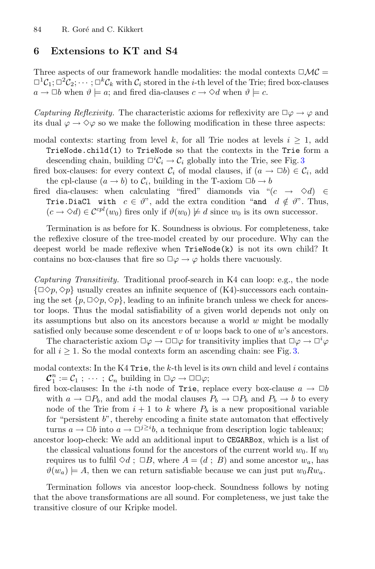## **6 Extensions to KT and S4**

Three aspects of our framework handle modalities: the modal contexts  $\square \mathcal{MC} =$  $\Box^1C_1;\Box^2C_2;\cdots;\Box^kC_k$  with  $C_i$  stored in the *i*-th level of the Trie; fired box-clauses  $a \to \Box b$  when  $\vartheta \models a$ ; and fired dia-clauses  $c \to \Diamond d$  when  $\vartheta \models c$ .

*Capturing Reflexivity.* The characteristic axioms for reflexivity are  $\Box \varphi \rightarrow \varphi$  and its dual  $\varphi \to \Diamond \varphi$  so we make the following modification in these three aspects:

- modal contexts: starting from level k, for all Trie nodes at levels  $i \geq 1$ , add TrieNode.child(1) to TrieNode so that the contexts in the Trie form a descending chain, building  $\Box^i C_i \to C_i$  globally into the Trie, see Fig. [3](#page-9-0)
- fired box-clauses: for every context  $\mathcal{C}_i$  of modal clauses, if  $(a \to \Box b) \in \mathcal{C}_i$ , add the cpl-clause  $(a \to b)$  to  $\mathcal{C}_i$ , building in the T-axiom  $\Box b \to b$
- fired dia-clauses: when calculating "fired" diamonds via " $(c \rightarrow \Diamond d) \in$ **Trie.DiaCl** with  $c \in \vartheta$ ", add the extra condition "and  $d \notin \vartheta$ ". Thus,  $(c \to \Diamond d) \in C^{cpl}(w_0)$  fires only if  $\vartheta(w_0) \not\models d$  since  $w_0$  is its own successor.

Termination is as before for K. Soundness is obvious. For completeness, take the reflexive closure of the tree-model created by our procedure. Why can the deepest world be made reflexive when  $TrielNode(k)$  is not its own child? It contains no box-clauses that fire so  $\Box \varphi \rightarrow \varphi$  holds there vacuously.

*Capturing Transitivity.* Traditional proof-search in K4 can loop: e.g., the node  $\{\Box \Diamond p, \Diamond p\}$  usually creates an infinite sequence of (K4)-successors each containing the set  $\{p, \Box \Diamond p, \Diamond p\}$ , leading to an infinite branch unless we check for ancestor loops. Thus the modal satisfiability of a given world depends not only on its assumptions but also on its ancestors because a world  $w$  might be modally satisfied only because some descendent  $v$  of  $w$  loops back to one of  $w$ 's ancestors.

The characteristic axiom  $\Box \varphi \to \Box \Box \varphi$  for transitivity implies that  $\Box \varphi \to \Box^i \varphi$ for all  $i \geq 1$ . So the modal contexts form an ascending chain: see Fig. [3.](#page-9-0)

- modal contexts: In the K4 Trie, the k-th level is its own child and level  $i$  contains  $\mathcal{C}_1^n := \mathcal{C}_1$ ;  $\cdots$ ;  $\mathcal{C}_n$  building in  $\Box \varphi \rightarrow \Box \Box \varphi$ ;
- fired box-clauses: In the *i*-th node of Trie, replace every box-clause  $a \rightarrow \Box b$ with  $a \to \Box P_b$ , and add the modal clauses  $P_b \to \Box P_b$  and  $P_b \to b$  to every node of the Trie from  $i + 1$  to k where  $P_b$  is a new propositional variable for "persistent  $b$ ", thereby encoding a finite state automaton that effectively turns  $a \to \Box b$  into  $a \to \Box^{j \geq i}b$ , a technique from description logic tableaux;
- ancestor loop-check: We add an additional input to CEGARBox, which is a list of the classical valuations found for the ancestors of the current world  $w_0$ . If  $w_0$ requires us to fulfil  $\Diamond d$ ;  $\Box B$ , where  $A = (d ; B)$  and some ancestor  $w_a$ , has  $\vartheta(w_a) = A$ , then we can return satisfiable because we can just put  $w_0 R w_a$ .

Termination follows via ancestor loop-check. Soundness follows by noting that the above transformations are all sound. For completeness, we just take the transitive closure of our Kripke model.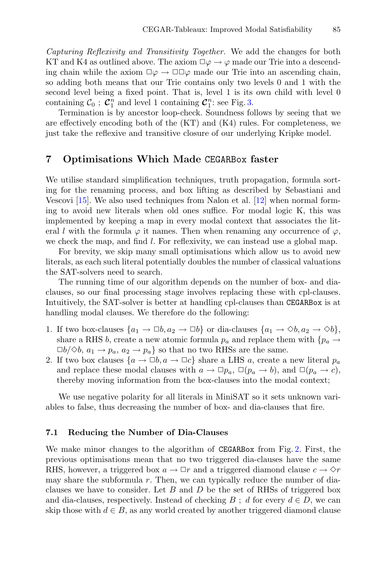*Capturing Reflexivity and Transitivity Together.* We add the changes for both KT and K4 as outlined above. The axiom  $\square \varphi \rightarrow \varphi$  made our Trie into a descending chain while the axiom  $\Box \varphi \rightarrow \Box \Box \varphi$  made our Trie into an ascending chain, so adding both means that our Trie contains only two levels 0 and 1 with the second level being a fixed point. That is, level 1 is its own child with level 0 containing  $C_0$ ;  $\mathcal{C}_1^n$  and level 1 containing  $\mathcal{C}_1^n$ : see Fig. [3.](#page-9-0)

Termination is by ancestor loop-check. Soundness follows by seeing that we are effectively encoding both of the  $(KT)$  and  $(K4)$  rules. For completeness, we just take the reflexive and transitive closure of our underlying Kripke model.

## **7 Optimisations Which Made** CEGARBox **faster**

We utilise standard simplification techniques, truth propagation, formula sorting for the renaming process, and box lifting as described by Sebastiani and Vescovi [\[15\]](#page-17-4). We also used techniques from Nalon et al. [\[12\]](#page-17-5) when normal forming to avoid new literals when old ones suffice. For modal logic K, this was implemented by keeping a map in every modal context that associates the literal l with the formula  $\varphi$  it names. Then when renaming any occurrence of  $\varphi$ , we check the map, and find l. For reflexivity, we can instead use a global map.

For brevity, we skip many small optimisations which allow us to avoid new literals, as each such literal potentially doubles the number of classical valuations the SAT-solvers need to search.

The running time of our algorithm depends on the number of box- and diaclauses, so our final processing stage involves replacing these with cpl-clauses. Intuitively, the SAT-solver is better at handling cpl-clauses than CEGARBox is at handling modal clauses. We therefore do the following:

- 1. If two box-clauses  $\{a_1 \to \Box b, a_2 \to \Box b\}$  or dia-clauses  $\{a_1 \to \Diamond b, a_2 \to \Diamond b\}$ , share a RHS b, create a new atomic formula  $p_a$  and replace them with  $\{p_a \rightarrow$  $\Box b/\Diamond b$ ,  $a_1 \rightarrow p_a$ ,  $a_2 \rightarrow p_a$  so that no two RHSs are the same.
- 2. If two box clauses  $\{a \to \Box b, a \to \Box c\}$  share a LHS a, create a new literal  $p_a$ and replace these modal clauses with  $a \to \Box p_a$ ,  $\Box (p_a \to b)$ , and  $\Box (p_a \to c)$ , thereby moving information from the box-clauses into the modal context;

We use negative polarity for all literals in MiniSAT so it sets unknown variables to false, thus decreasing the number of box- and dia-clauses that fire.

#### **7.1 Reducing the Number of Dia-Clauses**

We make minor changes to the algorithm of CEGARBox from Fig. [2.](#page-8-0) First, the previous optimisations mean that no two triggered dia-clauses have the same RHS, however, a triggered box  $a \to \Box r$  and a triggered diamond clause  $c \to \Diamond r$ may share the subformula  $r$ . Then, we can typically reduce the number of diaclauses we have to consider. Let  $B$  and  $D$  be the set of RHSs of triggered box and dia-clauses, respectively. Instead of checking  $B$ ; d for every  $d \in D$ , we can skip those with  $d \in B$ , as any world created by another triggered diamond clause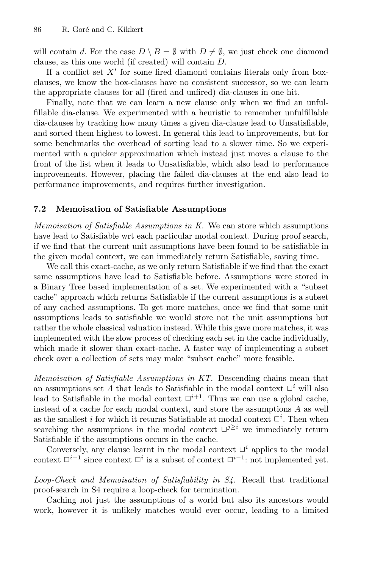will contain d. For the case  $D \setminus B = \emptyset$  with  $D \neq \emptyset$ , we just check one diamond clause, as this one world (if created) will contain D.

If a conflict set  $X'$  for some fired diamond contains literals only from boxclauses, we know the box-clauses have no consistent successor, so we can learn the appropriate clauses for all (fired and unfired) dia-clauses in one hit.

Finally, note that we can learn a new clause only when we find an unfulfillable dia-clause. We experimented with a heuristic to remember unfulfillable dia-clauses by tracking how many times a given dia-clause lead to Unsatisfiable, and sorted them highest to lowest. In general this lead to improvements, but for some benchmarks the overhead of sorting lead to a slower time. So we experimented with a quicker approximation which instead just moves a clause to the front of the list when it leads to Unsatisfiable, which also lead to performance improvements. However, placing the failed dia-clauses at the end also lead to performance improvements, and requires further investigation.

#### <span id="page-12-0"></span>**7.2 Memoisation of Satisfiable Assumptions**

*Memoisation of Satisfiable Assumptions in K.* We can store which assumptions have lead to Satisfiable wrt each particular modal context. During proof search, if we find that the current unit assumptions have been found to be satisfiable in the given modal context, we can immediately return Satisfiable, saving time.

We call this exact-cache, as we only return Satisfiable if we find that the exact same assumptions have lead to Satisfiable before. Assumptions were stored in a Binary Tree based implementation of a set. We experimented with a "subset cache" approach which returns Satisfiable if the current assumptions is a subset of any cached assumptions. To get more matches, once we find that some unit assumptions leads to satisfiable we would store not the unit assumptions but rather the whole classical valuation instead. While this gave more matches, it was implemented with the slow process of checking each set in the cache individually, which made it slower than exact-cache. A faster way of implementing a subset check over a collection of sets may make "subset cache" more feasible.

*Memoisation of Satisfiable Assumptions in KT.* Descending chains mean that an assumptions set A that leads to Satisfiable in the modal context  $\Box^i$  will also lead to Satisfiable in the modal context  $\Box^{i+1}$ . Thus we can use a global cache, instead of a cache for each modal context, and store the assumptions A as well as the smallest *i* for which it returns Satisfiable at modal context  $\Box^i$ . Then when searching the assumptions in the modal context  $\square^{j\geq i}$  we immediately return Satisfiable if the assumptions occurs in the cache.

Conversely, any clause learnt in the modal context  $\Box^i$  applies to the modal context  $\Box^{i-1}$  since context  $\Box^i$  is a subset of context  $\Box^{i-1}$ : not implemented yet.

*Loop-Check and Memoisation of Satisfiability in S4.* Recall that traditional proof-search in S4 require a loop-check for termination.

Caching not just the assumptions of a world but also its ancestors would work, however it is unlikely matches would ever occur, leading to a limited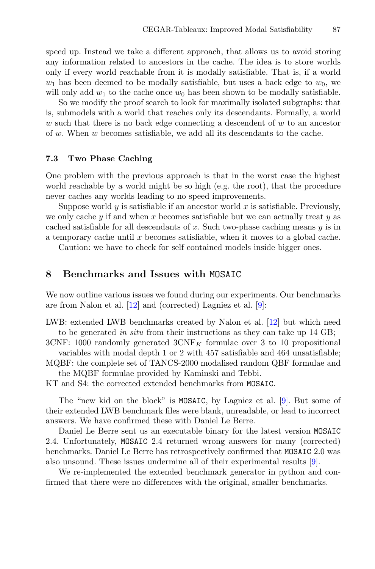speed up. Instead we take a different approach, that allows us to avoid storing any information related to ancestors in the cache. The idea is to store worlds only if every world reachable from it is modally satisfiable. That is, if a world  $w_1$  has been deemed to be modally satisfiable, but uses a back edge to  $w_0$ , we will only add  $w_1$  to the cache once  $w_0$  has been shown to be modally satisfiable.

So we modify the proof search to look for maximally isolated subgraphs: that is, submodels with a world that reaches only its descendants. Formally, a world w such that there is no back edge connecting a descendent of  $w$  to an ancestor of w. When w becomes satisfiable, we add all its descendants to the cache.

#### **7.3 Two Phase Caching**

One problem with the previous approach is that in the worst case the highest world reachable by a world might be so high (e.g. the root), that the procedure never caches any worlds leading to no speed improvements.

Suppose world  $y$  is satisfiable if an ancestor world  $x$  is satisfiable. Previously, we only cache y if and when x becomes satisfiable but we can actually treat y as cached satisfiable for all descendants of x. Such two-phase caching means  $y$  is in a temporary cache until  $x$  becomes satisfiable, when it moves to a global cache.

Caution: we have to check for self contained models inside bigger ones.

### **8 Benchmarks and Issues with** MOSAIC

We now outline various issues we found during our experiments. Our benchmarks are from Nalon et al. [\[12\]](#page-17-5) and (corrected) Lagniez et al. [\[9](#page-17-6)]:

LWB: extended LWB benchmarks created by Nalon et al. [\[12](#page-17-5)] but which need to be generated *in situ* from their instructions as they can take up 14 GB;

3CNF: 1000 randomly generated  $3CNF<sub>K</sub>$  formulae over 3 to 10 propositional variables with modal depth 1 or 2 with 457 satisfiable and 464 unsatisfiable;

MQBF: the complete set of TANCS-2000 modalised random QBF formulae and the MQBF formulae provided by Kaminski and Tebbi.

KT and S4: the corrected extended benchmarks from MOSAIC.

The "new kid on the block" is MOSAIC, by Lagniez et al. [\[9](#page-17-6)]. But some of their extended LWB benchmark files were blank, unreadable, or lead to incorrect answers. We have confirmed these with Daniel Le Berre.

Daniel Le Berre sent us an executable binary for the latest version MOSAIC 2.4. Unfortunately, MOSAIC 2.4 returned wrong answers for many (corrected) benchmarks. Daniel Le Berre has retrospectively confirmed that MOSAIC 2.0 was also unsound. These issues undermine all of their experimental results [\[9](#page-17-6)].

We re-implemented the extended benchmark generator in python and confirmed that there were no differences with the original, smaller benchmarks.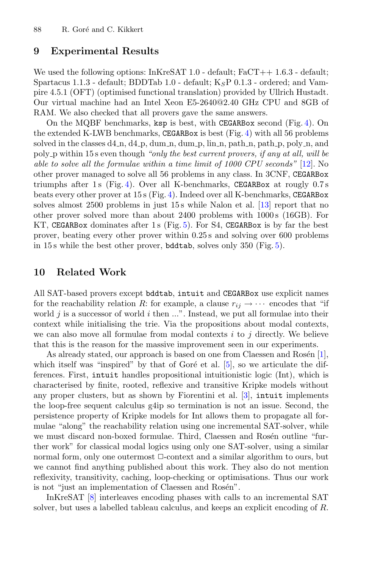## **9 Experimental Results**

We used the following options: InKreSAT  $1.0$  - default; FaCT++  $1.6.3$  - default; Spartacus 1.1.3 - default; BDDTab 1.0 - default;  $K_S P$  0.1.3 - ordered; and Vampire 4.5.1 (OFT) (optimised functional translation) provided by Ullrich Hustadt. Our virtual machine had an Intel Xeon E5-2640@2.40 GHz CPU and 8GB of RAM. We also checked that all provers gave the same answers.

On the MQBF benchmarks, ksp is best, with CEGARBox second (Fig. [4\)](#page-15-0). On the extended K-LWB benchmarks, CEGARBox is best (Fig. [4\)](#page-15-0) with all 56 problems solved in the classes  $d4_n, d4_p, \text{d}u_m, \text{d}u_m$ ,  $\text{d}u_m$ ,  $\text{d}u_m$ ,  $\text{d}u_m$ ,  $\text{d}u_m$ ,  $\text{d}u_m$ ,  $\text{d}u_m$ ,  $\text{d}u_m$ ,  $\text{d}u_m$ ,  $\text{d}u_m$ ,  $\text{d}u_m$ ,  $\text{d}u_m$ ,  $\text{d}u_m$ ,  $\text{d}u_m$ ,  $\text{d}u_m$ ,  $\text{d}u_m$ ,  $\text{d}u$ poly p within 15 s even though *"only the best current provers, if any at all, will be able to solve all the formulae within a time limit of 1000 CPU seconds"* [\[12](#page-17-5)]. No other prover managed to solve all 56 problems in any class. In 3CNF, CEGARBox triumphs after 1 s (Fig. [4\)](#page-15-0). Over all K-benchmarks, CEGARBox at rougly 0.7 s beats every other prover at 15 s (Fig. [4\)](#page-15-0). Indeed over all K-benchmarks, CEGARBox solves almost 2500 problems in just 15 s while Nalon et al. [\[13](#page-17-7)] report that no other prover solved more than about 2400 problems with 1000 s (16GB). For KT, CEGARBox dominates after 1 s (Fig. [5\)](#page-15-1). For S4, CEGARBox is by far the best prover, beating every other prover within 0.25 s and solving over 600 problems in 15 s while the best other prover, bddtab, solves only 350 (Fig. [5\)](#page-15-1).

### **10 Related Work**

All SAT-based provers except bddtab, intuit and CEGARBox use explicit names for the reachability relation R: for example, a clause  $r_{ij} \rightarrow \cdots$  encodes that "if world  $j$  is a successor of world  $i$  then  $\ldots$ ". Instead, we put all formulae into their context while initialising the trie. Via the propositions about modal contexts, we can also move all formulae from modal contexts  $i$  to  $j$  directly. We believe that this is the reason for the massive improvement seen in our experiments.

As already stated, our approach is based on one from Claessen and Rosén  $[1]$ , which itself was "inspired" by that of Goré et al.  $[5]$ , so we articulate the differences. First, intuit handles propositional intuitionistic logic (Int), which is characterised by finite, rooted, reflexive and transitive Kripke models without any proper clusters, but as shown by Fiorentini et al. [\[3\]](#page-16-2), intuit implements the loop-free sequent calculus g4ip so termination is not an issue. Second, the persistence property of Kripke models for Int allows them to propagate all formulae "along" the reachability relation using one incremental SAT-solver, while we must discard non-boxed formulae. Third, Claessen and Rosén outline "further work" for classical modal logics using only one SAT-solver, using a similar normal form, only one outermost  $\Box$ -context and a similar algorithm to ours, but we cannot find anything published about this work. They also do not mention reflexivity, transitivity, caching, loop-checking or optimisations. Thus our work is not "just an implementation of Claessen and Rosén".

InKreSAT [\[8](#page-16-6)] interleaves encoding phases with calls to an incremental SAT solver, but uses a labelled tableau calculus, and keeps an explicit encoding of R.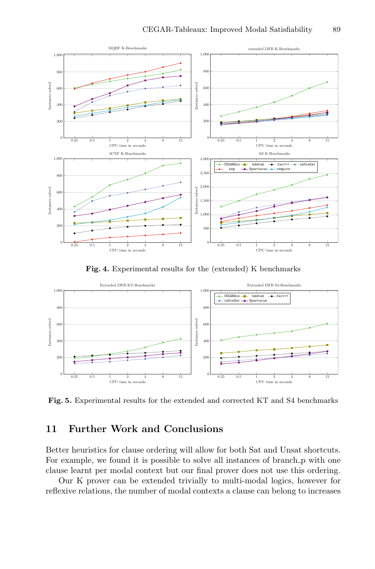

<span id="page-15-1"></span><span id="page-15-0"></span>**Fig. 4.** Experimental results for the (extended) K benchmarks



**Fig. 5.** Experimental results for the extended and corrected KT and S4 benchmarks

## **11 Further Work and Conclusions**

Better heuristics for clause ordering will allow for both Sat and Unsat shortcuts. For example, we found it is possible to solve all instances of branch p with one clause learnt per modal context but our final prover does not use this ordering.

Our K prover can be extended trivially to multi-modal logics, however for reflexive relations, the number of modal contexts a clause can belong to increases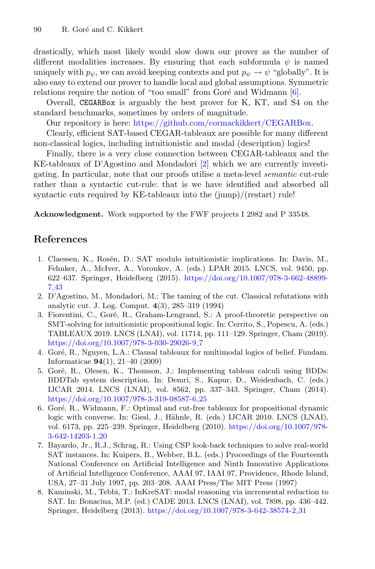drastically, which most likely would slow down our prover as the number of different modalities increases. By ensuring that each subformula  $\psi$  is named uniquely with  $p_{\psi}$ , we can avoid keeping contexts and put  $p_{\psi} \to \psi$  "globally". It is also easy to extend our prover to handle local and global assumptions. Symmetric relations require the notion of "too small" from Goré and Widmann  $[6]$ .

Overall, CEGARBox is arguably the best prover for K, KT, and S4 on the standard benchmarks, sometimes by orders of magnitude.

Our repository is here: [https://github.com/cormackikkert/CEGARBox.](https://github.com/cormackikkert/CEGARBox)

Clearly, efficient SAT-based CEGAR-tableaux are possible for many different non-classical logics, including intuitionistic and modal (description) logics!

Finally, there is a very close connection between CEGAR-tableaux and the KE-tableaux of D'Agostino and Mondadori [\[2](#page-16-5)] which we are currently investigating. In particular, note that our proofs utilise a meta-level *semantic* cut-rule rather than a syntactic cut-rule: that is we have identified and absorbed all syntactic cuts required by KE-tableaux into the (jump)/(restart) rule!

**Acknowledgment.** Work supported by the FWF projects I 2982 and P 33548.

# **References**

- <span id="page-16-1"></span>1. Claessen, K., Rosén, D.: SAT modulo intuitionistic implications. In: Davis, M., Fehnker, A., McIver, A., Voronkov, A. (eds.) LPAR 2015. LNCS, vol. 9450, pp. 622–637. Springer, Heidelberg (2015). [https://doi.org/10.1007/978-3-662-48899-](https://doi.org/10.1007/978-3-662-48899-7_43) 7 [43](https://doi.org/10.1007/978-3-662-48899-7_43)
- <span id="page-16-5"></span>2. D'Agostino, M., Mondadori, M.: The taming of the cut. Classical refutations with analytic cut. J. Log. Comput. **4**(3), 285–319 (1994)
- <span id="page-16-2"></span>3. Fiorentini, C., Goré, R., Graham-Lengrand, S.: A proof-theoretic perspective on SMT-solving for intuitionistic propositional logic. In: Cerrito, S., Popescu, A. (eds.) TABLEAUX 2019. LNCS (LNAI), vol. 11714, pp. 111–129. Springer, Cham (2019). [https://doi.org/10.1007/978-3-030-29026-9](https://doi.org/10.1007/978-3-030-29026-9_7) 7
- <span id="page-16-4"></span>4. Goré, R., Nguyen, L.A.: Clausal tableaux for multimodal logics of belief. Fundam. Informaticae **94**(1), 21–40 (2009)
- <span id="page-16-3"></span>5. Goré, R., Olesen, K., Thomson, J.: Implementing tableau calculi using BDDs: BDDTab system description. In: Demri, S., Kapur, D., Weidenbach, C. (eds.) IJCAR 2014. LNCS (LNAI), vol. 8562, pp. 337–343. Springer, Cham (2014). [https://doi.org/10.1007/978-3-319-08587-6](https://doi.org/10.1007/978-3-319-08587-6_25) 25
- <span id="page-16-7"></span>6. Gor´e, R., Widmann, F.: Optimal and cut-free tableaux for propositional dynamic logic with converse. In: Giesl, J., Hähnle, R. (eds.) IJCAR 2010. LNCS (LNAI), vol. 6173, pp. 225–239. Springer, Heidelberg (2010). [https://doi.org/10.1007/978-](https://doi.org/10.1007/978-3-642-14203-1_20) [3-642-14203-1](https://doi.org/10.1007/978-3-642-14203-1_20) 20
- <span id="page-16-0"></span>7. Bayardo, Jr., R.J., Schrag, R.: Using CSP look-back techniques to solve real-world SAT instances. In: Kuipers, B., Webber, B.L. (eds.) Proceedings of the Fourteenth National Conference on Artificial Intelligence and Ninth Innovative Applications of Artificial Intelligence Conference, AAAI 97, IAAI 97, Providence, Rhode Island, USA, 27–31 July 1997, pp. 203–208. AAAI Press/The MIT Press (1997)
- <span id="page-16-6"></span>8. Kaminski, M., Tebbi, T.: InKreSAT: modal reasoning via incremental reduction to SAT. In: Bonacina, M.P. (ed.) CADE 2013. LNCS (LNAI), vol. 7898, pp. 436–442. Springer, Heidelberg (2013). [https://doi.org/10.1007/978-3-642-38574-2](https://doi.org/10.1007/978-3-642-38574-2_31) 31